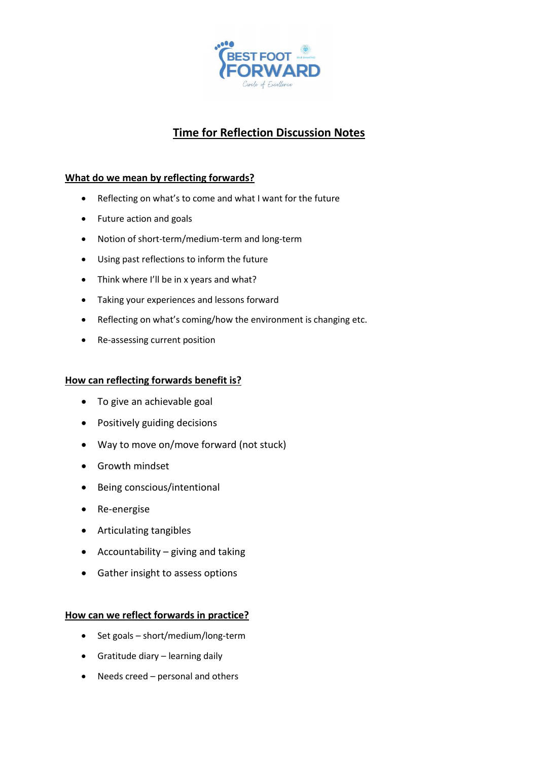

# **Time for Reflection Discussion Notes**

## **What do we mean by reflecting forwards?**

- Reflecting on what's to come and what I want for the future
- Future action and goals
- Notion of short-term/medium-term and long-term
- Using past reflections to inform the future
- Think where I'll be in x years and what?
- Taking your experiences and lessons forward
- Reflecting on what's coming/how the environment is changing etc.
- Re-assessing current position

### **How can reflecting forwards benefit is?**

- To give an achievable goal
- Positively guiding decisions
- Way to move on/move forward (not stuck)
- Growth mindset
- Being conscious/intentional
- Re-energise
- Articulating tangibles
- Accountability giving and taking
- Gather insight to assess options

#### **How can we reflect forwards in practice?**

- Set goals short/medium/long-term
- Gratitude diary learning daily
- Needs creed personal and others